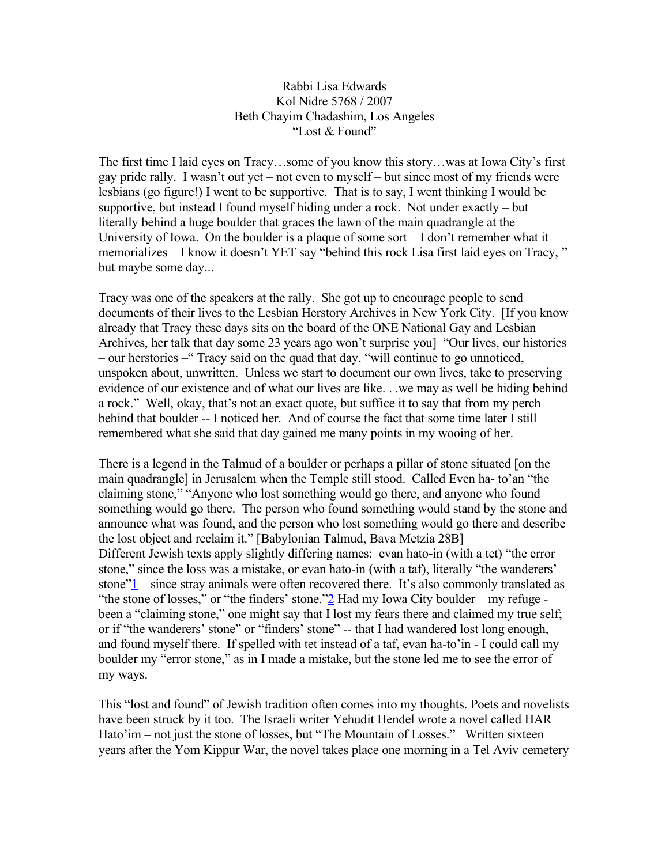## Rabbi Lisa Edwards Kol Nidre 5768 / 2007 Beth Chayim Chadashim, Los Angeles "Lost & Found"

The first time I laid eyes on Tracy…some of you know this story…was at Iowa City's first gay pride rally. I wasn't out yet – not even to myself – but since most of my friends were lesbians (go figure!) I went to be supportive. That is to say, I went thinking I would be supportive, but instead I found myself hiding under a rock. Not under exactly – but literally behind a huge boulder that graces the lawn of the main quadrangle at the University of Iowa. On the boulder is a plaque of some sort – I don't remember what it memorializes – I know it doesn't YET say "behind this rock Lisa first laid eyes on Tracy, " but maybe some day...

Tracy was one of the speakers at the rally. She got up to encourage people to send documents of their lives to the Lesbian Herstory Archives in New York City. [If you know already that Tracy these days sits on the board of the ONE National Gay and Lesbian Archives, her talk that day some 23 years ago won't surprise you] "Our lives, our histories – our herstories –" Tracy said on the quad that day, "will continue to go unnoticed, unspoken about, unwritten. Unless we start to document our own lives, take to preserving evidence of our existence and of what our lives are like. . .we may as well be hiding behind a rock." Well, okay, that's not an exact quote, but suffice it to say that from my perch behind that boulder -- I noticed her. And of course the fact that some time later I still remembered what she said that day gained me many points in my wooing of her.

There is a legend in the Talmud of a boulder or perhaps a pillar of stone situated [on the main quadrangle] in Jerusalem when the Temple still stood. Called Even ha- to'an "the claiming stone," "Anyone who lost something would go there, and anyone who found something would go there. The person who found something would stand by the stone and announce what was found, and the person who lost something would go there and describe the lost object and reclaim it." [Babylonian Talmud, Bava Metzia 28B] Different Jewish texts apply slightly differing names: evan hato-in (with a tet) "the error stone," since the loss was a mistake, or evan hato-in (with a taf), literally "the wanderers' stone["1](http://www.bcc-la.org/drashot/5768KN.html#_ftn1) – since stray animals were often recovered there. It's also commonly translated as "the stone of losses," or "the finders' stone.["2](http://www.bcc-la.org/drashot/5768KN.html#_ftn2) Had my Iowa City boulder – my refuge been a "claiming stone," one might say that I lost my fears there and claimed my true self; or if "the wanderers' stone" or "finders' stone" -- that I had wandered lost long enough, and found myself there. If spelled with tet instead of a taf, evan ha-to'in - I could call my boulder my "error stone," as in I made a mistake, but the stone led me to see the error of my ways.

This "lost and found" of Jewish tradition often comes into my thoughts. Poets and novelists have been struck by it too. The Israeli writer Yehudit Hendel wrote a novel called HAR Hato'im – not just the stone of losses, but "The Mountain of Losses." Written sixteen years after the Yom Kippur War, the novel takes place one morning in a Tel Aviv cemetery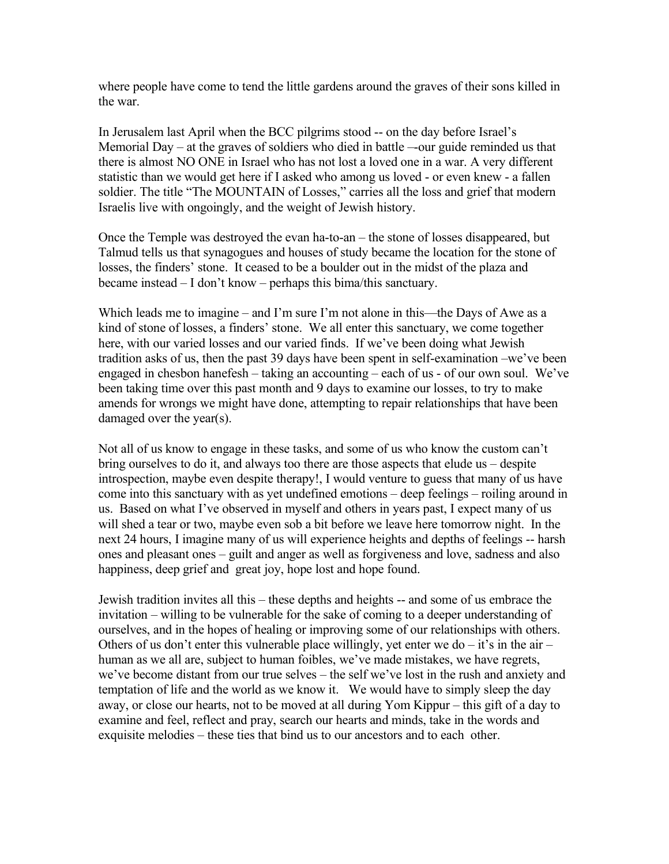where people have come to tend the little gardens around the graves of their sons killed in the war.

In Jerusalem last April when the BCC pilgrims stood -- on the day before Israel's Memorial Day – at the graves of soldiers who died in battle –-our guide reminded us that there is almost NO ONE in Israel who has not lost a loved one in a war. A very different statistic than we would get here if I asked who among us loved - or even knew - a fallen soldier. The title "The MOUNTAIN of Losses," carries all the loss and grief that modern Israelis live with ongoingly, and the weight of Jewish history.

Once the Temple was destroyed the evan ha-to-an – the stone of losses disappeared, but Talmud tells us that synagogues and houses of study became the location for the stone of losses, the finders' stone. It ceased to be a boulder out in the midst of the plaza and became instead – I don't know – perhaps this bima/this sanctuary.

Which leads me to imagine – and I'm sure I'm not alone in this—the Days of Awe as a kind of stone of losses, a finders' stone. We all enter this sanctuary, we come together here, with our varied losses and our varied finds. If we've been doing what Jewish tradition asks of us, then the past 39 days have been spent in self-examination –we've been engaged in chesbon hanefesh – taking an accounting – each of us - of our own soul. We've been taking time over this past month and 9 days to examine our losses, to try to make amends for wrongs we might have done, attempting to repair relationships that have been damaged over the year(s).

Not all of us know to engage in these tasks, and some of us who know the custom can't bring ourselves to do it, and always too there are those aspects that elude us – despite introspection, maybe even despite therapy!, I would venture to guess that many of us have come into this sanctuary with as yet undefined emotions – deep feelings – roiling around in us. Based on what I've observed in myself and others in years past, I expect many of us will shed a tear or two, maybe even sob a bit before we leave here tomorrow night. In the next 24 hours, I imagine many of us will experience heights and depths of feelings -- harsh ones and pleasant ones – guilt and anger as well as forgiveness and love, sadness and also happiness, deep grief and great joy, hope lost and hope found.

Jewish tradition invites all this – these depths and heights -- and some of us embrace the invitation – willing to be vulnerable for the sake of coming to a deeper understanding of ourselves, and in the hopes of healing or improving some of our relationships with others. Others of us don't enter this vulnerable place willingly, yet enter we do  $-$  it's in the air  $$ human as we all are, subject to human foibles, we've made mistakes, we have regrets, we've become distant from our true selves – the self we've lost in the rush and anxiety and temptation of life and the world as we know it. We would have to simply sleep the day away, or close our hearts, not to be moved at all during Yom Kippur – this gift of a day to examine and feel, reflect and pray, search our hearts and minds, take in the words and exquisite melodies – these ties that bind us to our ancestors and to each other.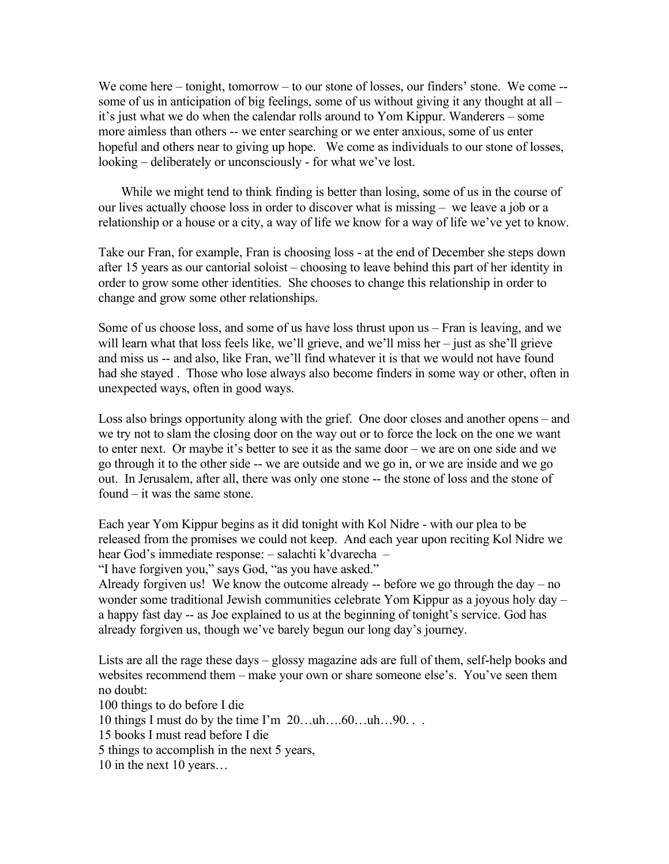We come here – tonight, tomorrow – to our stone of losses, our finders' stone. We come -some of us in anticipation of big feelings, some of us without giving it any thought at all – it's just what we do when the calendar rolls around to Yom Kippur. Wanderers – some more aimless than others -- we enter searching or we enter anxious, some of us enter hopeful and others near to giving up hope. We come as individuals to our stone of losses, looking – deliberately or unconsciously - for what we've lost.

 While we might tend to think finding is better than losing, some of us in the course of our lives actually choose loss in order to discover what is missing – we leave a job or a relationship or a house or a city, a way of life we know for a way of life we've yet to know.

Take our Fran, for example, Fran is choosing loss - at the end of December she steps down after 15 years as our cantorial soloist – choosing to leave behind this part of her identity in order to grow some other identities. She chooses to change this relationship in order to change and grow some other relationships.

Some of us choose loss, and some of us have loss thrust upon us – Fran is leaving, and we will learn what that loss feels like, we'll grieve, and we'll miss her – just as she'll grieve and miss us -- and also, like Fran, we'll find whatever it is that we would not have found had she stayed . Those who lose always also become finders in some way or other, often in unexpected ways, often in good ways.

Loss also brings opportunity along with the grief. One door closes and another opens – and we try not to slam the closing door on the way out or to force the lock on the one we want to enter next. Or maybe it's better to see it as the same door – we are on one side and we go through it to the other side -- we are outside and we go in, or we are inside and we go out. In Jerusalem, after all, there was only one stone -- the stone of loss and the stone of found – it was the same stone.

Each year Yom Kippur begins as it did tonight with Kol Nidre - with our plea to be released from the promises we could not keep. And each year upon reciting Kol Nidre we hear God's immediate response: – salachti k'dvarecha –

"I have forgiven you," says God, "as you have asked."

Already forgiven us! We know the outcome already -- before we go through the day – no wonder some traditional Jewish communities celebrate Yom Kippur as a joyous holy day – a happy fast day -- as Joe explained to us at the beginning of tonight's service. God has already forgiven us, though we've barely begun our long day's journey.

Lists are all the rage these days – glossy magazine ads are full of them, self-help books and websites recommend them – make your own or share someone else's. You've seen them no doubt:

100 things to do before I die

10 things I must do by the time I'm 20…uh….60…uh…90. . .

15 books I must read before I die

5 things to accomplish in the next 5 years,

10 in the next 10 years…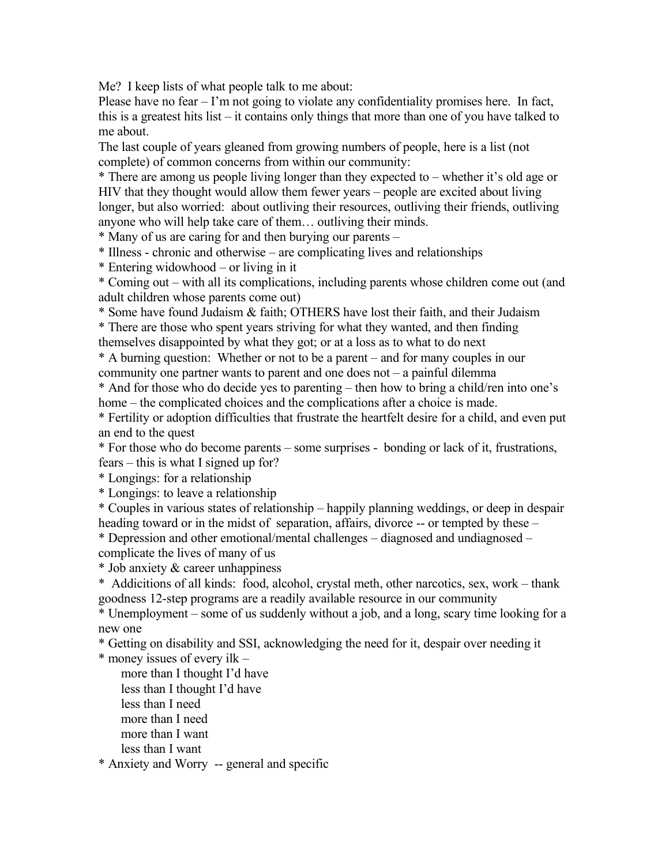Me? I keep lists of what people talk to me about:

Please have no fear – I'm not going to violate any confidentiality promises here. In fact, this is a greatest hits list – it contains only things that more than one of you have talked to me about.

The last couple of years gleaned from growing numbers of people, here is a list (not complete) of common concerns from within our community:

\* There are among us people living longer than they expected to – whether it's old age or HIV that they thought would allow them fewer years – people are excited about living longer, but also worried: about outliving their resources, outliving their friends, outliving anyone who will help take care of them… outliving their minds.

\* Many of us are caring for and then burying our parents –

\* Illness - chronic and otherwise – are complicating lives and relationships

\* Entering widowhood – or living in it

\* Coming out – with all its complications, including parents whose children come out (and adult children whose parents come out)

\* Some have found Judaism & faith; OTHERS have lost their faith, and their Judaism

\* There are those who spent years striving for what they wanted, and then finding themselves disappointed by what they got; or at a loss as to what to do next

\* A burning question: Whether or not to be a parent – and for many couples in our community one partner wants to parent and one does not – a painful dilemma

\* And for those who do decide yes to parenting – then how to bring a child/ren into one's home – the complicated choices and the complications after a choice is made.

\* Fertility or adoption difficulties that frustrate the heartfelt desire for a child, and even put an end to the quest

\* For those who do become parents – some surprises - bonding or lack of it, frustrations, fears – this is what I signed up for?

\* Longings: for a relationship

\* Longings: to leave a relationship

\* Couples in various states of relationship – happily planning weddings, or deep in despair heading toward or in the midst of separation, affairs, divorce -- or tempted by these – \* Depression and other emotional/mental challenges – diagnosed and undiagnosed –

complicate the lives of many of us

\* Job anxiety & career unhappiness

\* Addicitions of all kinds: food, alcohol, crystal meth, other narcotics, sex, work – thank goodness 12-step programs are a readily available resource in our community

\* Unemployment – some of us suddenly without a job, and a long, scary time looking for a new one

\* Getting on disability and SSI, acknowledging the need for it, despair over needing it

\* money issues of every ilk –

 more than I thought I'd have less than I thought I'd have less than I need more than I need more than I want less than I want

\* Anxiety and Worry -- general and specific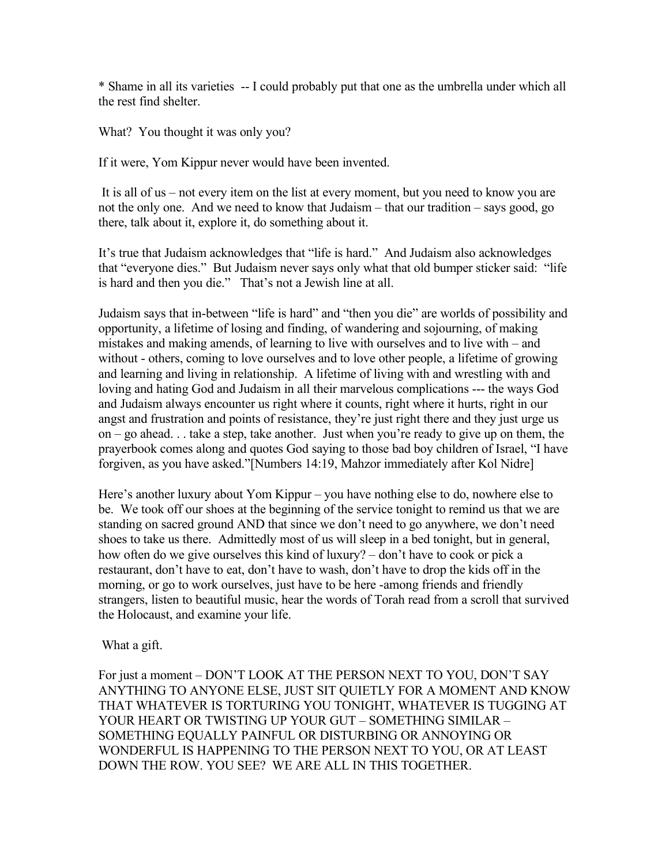\* Shame in all its varieties -- I could probably put that one as the umbrella under which all the rest find shelter.

What? You thought it was only you?

If it were, Yom Kippur never would have been invented.

It is all of us – not every item on the list at every moment, but you need to know you are not the only one. And we need to know that Judaism – that our tradition – says good, go there, talk about it, explore it, do something about it.

It's true that Judaism acknowledges that "life is hard." And Judaism also acknowledges that "everyone dies." But Judaism never says only what that old bumper sticker said: "life is hard and then you die." That's not a Jewish line at all.

Judaism says that in-between "life is hard" and "then you die" are worlds of possibility and opportunity, a lifetime of losing and finding, of wandering and sojourning, of making mistakes and making amends, of learning to live with ourselves and to live with – and without - others, coming to love ourselves and to love other people, a lifetime of growing and learning and living in relationship. A lifetime of living with and wrestling with and loving and hating God and Judaism in all their marvelous complications --- the ways God and Judaism always encounter us right where it counts, right where it hurts, right in our angst and frustration and points of resistance, they're just right there and they just urge us on – go ahead. . . take a step, take another. Just when you're ready to give up on them, the prayerbook comes along and quotes God saying to those bad boy children of Israel, "I have forgiven, as you have asked."[Numbers 14:19, Mahzor immediately after Kol Nidre]

Here's another luxury about Yom Kippur – you have nothing else to do, nowhere else to be. We took off our shoes at the beginning of the service tonight to remind us that we are standing on sacred ground AND that since we don't need to go anywhere, we don't need shoes to take us there. Admittedly most of us will sleep in a bed tonight, but in general, how often do we give ourselves this kind of luxury? – don't have to cook or pick a restaurant, don't have to eat, don't have to wash, don't have to drop the kids off in the morning, or go to work ourselves, just have to be here -among friends and friendly strangers, listen to beautiful music, hear the words of Torah read from a scroll that survived the Holocaust, and examine your life.

What a gift.

For just a moment – DON'T LOOK AT THE PERSON NEXT TO YOU, DON'T SAY ANYTHING TO ANYONE ELSE, JUST SIT QUIETLY FOR A MOMENT AND KNOW THAT WHATEVER IS TORTURING YOU TONIGHT, WHATEVER IS TUGGING AT YOUR HEART OR TWISTING UP YOUR GUT – SOMETHING SIMILAR – SOMETHING EQUALLY PAINFUL OR DISTURBING OR ANNOYING OR WONDERFUL IS HAPPENING TO THE PERSON NEXT TO YOU, OR AT LEAST DOWN THE ROW. YOU SEE? WE ARE ALL IN THIS TOGETHER.